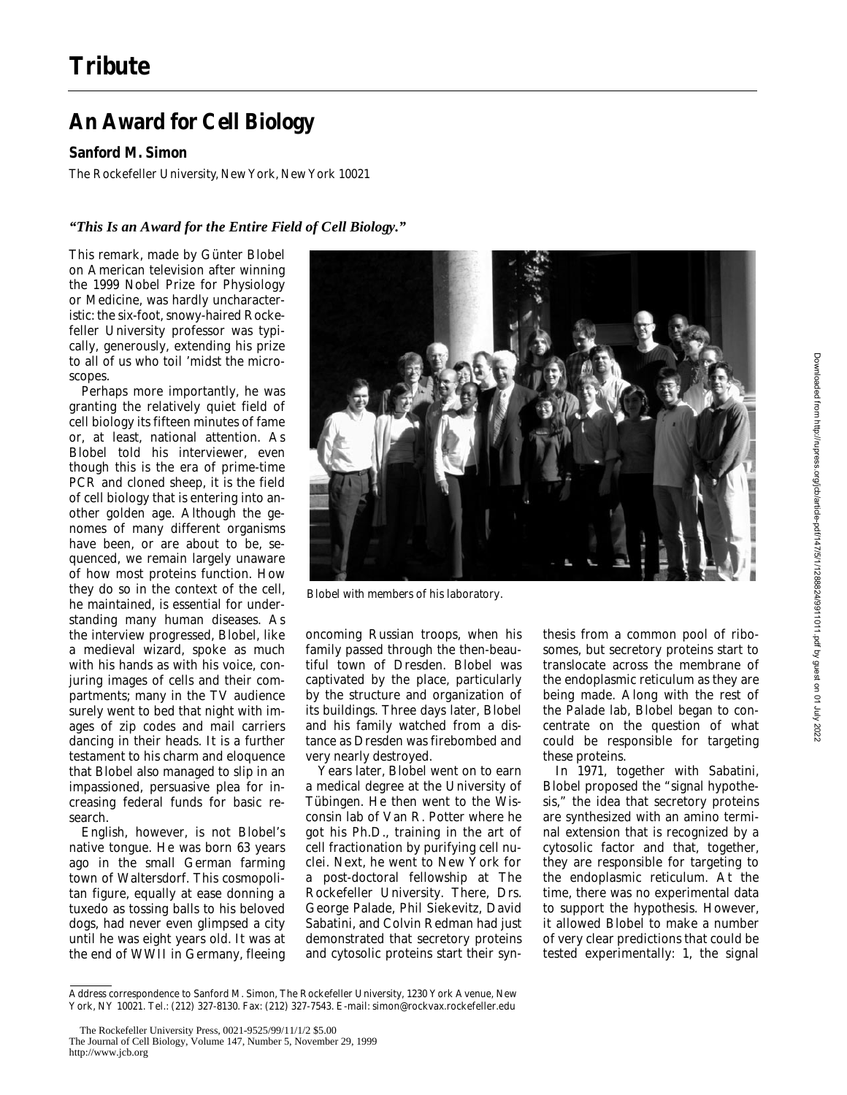## **An Award for Cell Biology**

## **Sanford M. Simon**

The Rockefeller University, New York, New York 10021

## *"This Is an Award for the Entire Field of Cell Biology."*

This remark, made by Günter Blobel on American television after winning the 1999 Nobel Prize for Physiology or Medicine, was hardly uncharacteristic: the six-foot, snowy-haired Rockefeller University professor was typically, generously, extending his prize to all of us who toil 'midst the microscopes.

Perhaps more importantly, he was granting the relatively quiet field of cell biology its fifteen minutes of fame or, at least, national attention. As Blobel told his interviewer, even though this is the era of prime-time PCR and cloned sheep, it is the field of cell biology that is entering into another golden age. Although the genomes of many different organisms have been, or are about to be, sequenced, we remain largely unaware of how most proteins function. How they do so in the context of the cell, he maintained, is essential for understanding many human diseases. As the interview progressed, Blobel, like a medieval wizard, spoke as much with his hands as with his voice, conjuring images of cells and their compartments; many in the TV audience surely went to bed that night with images of zip codes and mail carriers dancing in their heads. It is a further testament to his charm and eloquence that Blobel also managed to slip in an impassioned, persuasive plea for increasing federal funds for basic research.

English, however, is not Blobel's native tongue. He was born 63 years ago in the small German farming town of Waltersdorf. This cosmopolitan figure, equally at ease donning a tuxedo as tossing balls to his beloved dogs, had never even glimpsed a city until he was eight years old. It was at the end of WWII in Germany, fleeing



*Blobel with members of his laboratory*.

oncoming Russian troops, when his family passed through the then-beautiful town of Dresden. Blobel was captivated by the place, particularly by the structure and organization of its buildings. Three days later, Blobel and his family watched from a distance as Dresden was firebombed and very nearly destroyed.

Years later, Blobel went on to earn a medical degree at the University of Tübingen. He then went to the Wisconsin lab of Van R. Potter where he got his Ph.D., training in the art of cell fractionation by purifying cell nuclei. Next, he went to New York for a post-doctoral fellowship at The Rockefeller University. There, Drs. George Palade, Phil Siekevitz, David Sabatini, and Colvin Redman had just demonstrated that secretory proteins and cytosolic proteins start their syn-

thesis from a common pool of ribosomes, but secretory proteins start to translocate across the membrane of the endoplasmic reticulum as they are being made. Along with the rest of the Palade lab, Blobel began to concentrate on the question of what could be responsible for targeting these proteins.

In 1971, together with Sabatini, Blobel proposed the "signal hypothesis," the idea that secretory proteins are synthesized with an amino terminal extension that is recognized by a cytosolic factor and that, together, they are responsible for targeting to the endoplasmic reticulum. At the time, there was no experimental data to support the hypothesis. However, it allowed Blobel to make a number of very clear predictions that could be tested experimentally: 1, the signal

Address correspondence to Sanford M. Simon, The Rockefeller University, 1230 York Avenue, New York, NY 10021. Tel.: (212) 327-8130. Fax: (212) 327-7543. E-mail: simon@rockvax.rockefeller.edu